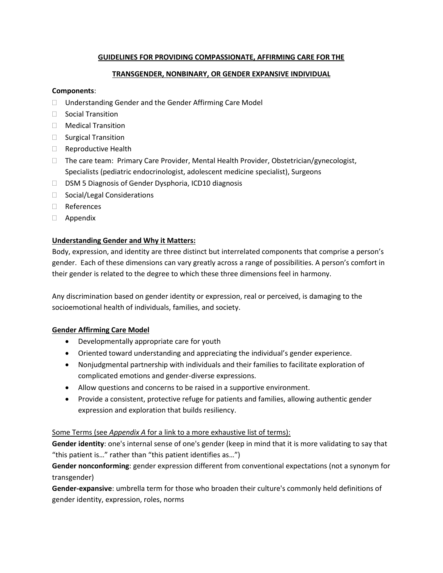## **GUIDELINES FOR PROVIDING COMPASSIONATE, AFFIRMING CARE FOR THE**

## **TRANSGENDER, NONBINARY, OR GENDER EXPANSIVE INDIVIDUAL**

### **Components**:

- Understanding Gender and the Gender Affirming Care Model
- $\Box$  Social Transition
- □ Medical Transition
- $\Box$  Surgical Transition
- $\Box$  Reproductive Health
- $\Box$  The care team: Primary Care Provider, Mental Health Provider, Obstetrician/gynecologist, Specialists (pediatric endocrinologist, adolescent medicine specialist), Surgeons
- □ DSM 5 Diagnosis of Gender Dysphoria, ICD10 diagnosis
- □ Social/Legal Considerations
- References
- Appendix

## **Understanding Gender and Why it Matters:**

Body, expression, and identity are three distinct but interrelated components that comprise a person's gender. Each of these dimensions can vary greatly across a range of possibilities. A person's comfort in their gender is related to the degree to which these three dimensions feel in harmony.

Any discrimination based on gender identity or expression, real or perceived, is damaging to the socioemotional health of individuals, families, and society.

# **Gender Affirming Care Model**

- Developmentally appropriate care for youth
- Oriented toward understanding and appreciating the individual's gender experience.
- Nonjudgmental partnership with individuals and their families to facilitate exploration of complicated emotions and gender-diverse expressions.
- Allow questions and concerns to be raised in a supportive environment.
- Provide a consistent, protective refuge for patients and families, allowing authentic gender expression and exploration that builds resiliency.

### Some Terms (see *Appendix A* for a link to a more exhaustive list of terms):

**Gender identity**: one's internal sense of one's gender (keep in mind that it is more validating to say that "this patient is…" rather than "this patient identifies as…")

**Gender nonconforming**: gender expression different from conventional expectations (not a synonym for transgender)

**Gender-expansive**: umbrella term for those who broaden their culture's commonly held definitions of gender identity, expression, roles, norms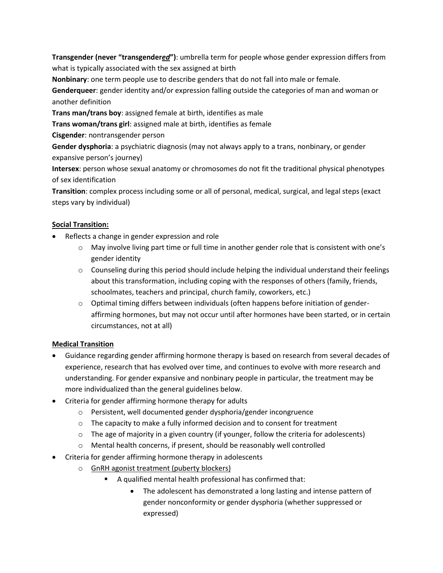**Transgender (never "transgender***ed***")**: umbrella term for people whose gender expression differs from what is typically associated with the sex assigned at birth

**Nonbinary**: one term people use to describe genders that do not fall into male or female.

**Genderqueer**: gender identity and/or expression falling outside the categories of man and woman or another definition

**Trans man/trans boy**: assigned female at birth, identifies as male

**Trans woman/trans girl**: assigned male at birth, identifies as female

**Cisgender**: nontransgender person

**Gender dysphoria**: a psychiatric diagnosis (may not always apply to a trans, nonbinary, or gender expansive person's journey)

**Intersex**: person whose sexual anatomy or chromosomes do not fit the traditional physical phenotypes of sex identification

**Transition**: complex process including some or all of personal, medical, surgical, and legal steps (exact steps vary by individual)

# **Social Transition:**

- Reflects a change in gender expression and role
	- $\circ$  May involve living part time or full time in another gender role that is consistent with one's gender identity
	- $\circ$  Counseling during this period should include helping the individual understand their feelings about this transformation, including coping with the responses of others (family, friends, schoolmates, teachers and principal, church family, coworkers, etc.)
	- $\circ$  Optimal timing differs between individuals (often happens before initiation of genderaffirming hormones, but may not occur until after hormones have been started, or in certain circumstances, not at all)

# **Medical Transition**

- Guidance regarding gender affirming hormone therapy is based on research from several decades of experience, research that has evolved over time, and continues to evolve with more research and understanding. For gender expansive and nonbinary people in particular, the treatment may be more individualized than the general guidelines below.
- Criteria for gender affirming hormone therapy for adults
	- o Persistent, well documented gender dysphoria/gender incongruence
	- $\circ$  The capacity to make a fully informed decision and to consent for treatment
	- $\circ$  The age of majority in a given country (if younger, follow the criteria for adolescents)
	- o Mental health concerns, if present, should be reasonably well controlled
- Criteria for gender affirming hormone therapy in adolescents
	- o GnRH agonist treatment (puberty blockers)
		- A qualified mental health professional has confirmed that:
			- The adolescent has demonstrated a long lasting and intense pattern of gender nonconformity or gender dysphoria (whether suppressed or expressed)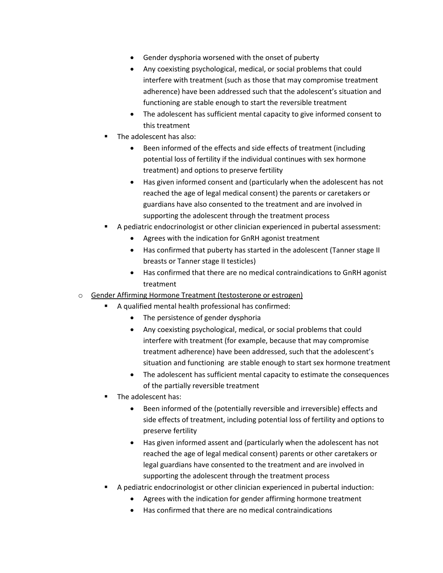- Gender dysphoria worsened with the onset of puberty
- Any coexisting psychological, medical, or social problems that could interfere with treatment (such as those that may compromise treatment adherence) have been addressed such that the adolescent's situation and functioning are stable enough to start the reversible treatment
- The adolescent has sufficient mental capacity to give informed consent to this treatment
- The adolescent has also:
	- Been informed of the effects and side effects of treatment (including potential loss of fertility if the individual continues with sex hormone treatment) and options to preserve fertility
	- Has given informed consent and (particularly when the adolescent has not reached the age of legal medical consent) the parents or caretakers or guardians have also consented to the treatment and are involved in supporting the adolescent through the treatment process
- A pediatric endocrinologist or other clinician experienced in pubertal assessment:
	- Agrees with the indication for GnRH agonist treatment
	- Has confirmed that puberty has started in the adolescent (Tanner stage II breasts or Tanner stage II testicles)
	- Has confirmed that there are no medical contraindications to GnRH agonist treatment
- o Gender Affirming Hormone Treatment (testosterone or estrogen)
	- A qualified mental health professional has confirmed:
		- The persistence of gender dysphoria
		- Any coexisting psychological, medical, or social problems that could interfere with treatment (for example, because that may compromise treatment adherence) have been addressed, such that the adolescent's situation and functioning are stable enough to start sex hormone treatment
		- The adolescent has sufficient mental capacity to estimate the consequences of the partially reversible treatment
	- The adolescent has:
		- Been informed of the (potentially reversible and irreversible) effects and side effects of treatment, including potential loss of fertility and options to preserve fertility
		- Has given informed assent and (particularly when the adolescent has not reached the age of legal medical consent) parents or other caretakers or legal guardians have consented to the treatment and are involved in supporting the adolescent through the treatment process
	- A pediatric endocrinologist or other clinician experienced in pubertal induction:
		- Agrees with the indication for gender affirming hormone treatment
		- Has confirmed that there are no medical contraindications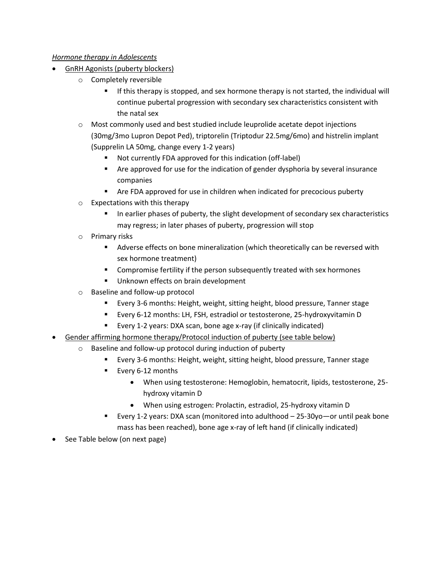## *Hormone therapy in Adolescents*

- GnRH Agonists (puberty blockers)
	- o Completely reversible
		- **■** If this therapy is stopped, and sex hormone therapy is not started, the individual will continue pubertal progression with secondary sex characteristics consistent with the natal sex
	- $\circ$  Most commonly used and best studied include leuprolide acetate depot injections (30mg/3mo Lupron Depot Ped), triptorelin (Triptodur 22.5mg/6mo) and histrelin implant (Supprelin LA 50mg, change every 1-2 years)
		- Not currently FDA approved for this indication (off-label)
		- Are approved for use for the indication of gender dysphoria by several insurance companies
		- Are FDA approved for use in children when indicated for precocious puberty
	- o Expectations with this therapy
		- In earlier phases of puberty, the slight development of secondary sex characteristics may regress; in later phases of puberty, progression will stop
	- o Primary risks
		- Adverse effects on bone mineralization (which theoretically can be reversed with sex hormone treatment)
		- Compromise fertility if the person subsequently treated with sex hormones
		- Unknown effects on brain development
	- o Baseline and follow-up protocol
		- Every 3-6 months: Height, weight, sitting height, blood pressure, Tanner stage
		- Every 6-12 months: LH, FSH, estradiol or testosterone, 25-hydroxyvitamin D
		- Every 1-2 years: DXA scan, bone age x-ray (if clinically indicated)
- Gender affirming hormone therapy/Protocol induction of puberty (see table below)
	- o Baseline and follow-up protocol during induction of puberty
		- Every 3-6 months: Height, weight, sitting height, blood pressure, Tanner stage
		- Every 6-12 months
			- When using testosterone: Hemoglobin, hematocrit, lipids, testosterone, 25 hydroxy vitamin D
			- When using estrogen: Prolactin, estradiol, 25-hydroxy vitamin D
		- Every 1-2 years: DXA scan (monitored into adulthood 25-30yo—or until peak bone mass has been reached), bone age x-ray of left hand (if clinically indicated)
- See Table below (on next page)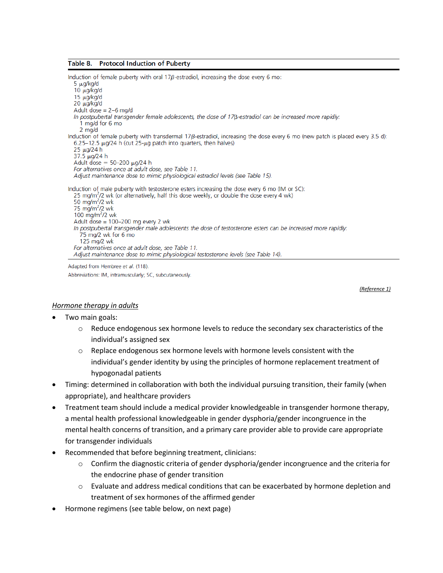#### Table 8. **Protocol Induction of Puberty**

Induction of female puberty with oral  $17\beta$ -estradiol, increasing the dose every 6 mo:  $5 \mu g/kg/d$  $10 \mu q/kq/d$  $15 \mu g/kg/d$ 20 µg/kg/d Adult dose =  $2-6$  mg/d In postpubertal transgender female adolescents, the dose of  $17\beta$ -estradiol can be increased more rapidly: 1 mg/d for 6 mo 2 mg/d Induction of female puberty with transdermal 17 $\beta$ -estradiol, increasing the dose every 6 mo (new patch is placed every 3.5 d):  $6.25-12.5 \mu g/24$  h (cut  $25-\mu g$  patch into quarters, then halves) 25 µg/24 h 37.5 µg/24 h Adult dose =  $50-200 \mu q/24$  h For alternatives once at adult dose, see Table 11. Adjust maintenance dose to mimic physiological estradiol levels (see Table 15). Induction of male puberty with testosterone esters increasing the dose every 6 mo (IM or SC): 25 mg/m<sup>2</sup>/2 wk (or alternatively, half this dose weekly, or double the dose every 4 wk) 50 mg/m $^2$ /2 wk 75  $mg/m^2/2$  wk 100 mg/m<sup>2</sup>/2 wk Adult dose = 100-200 mg every 2 wk In postpubertal transgender male adolescents the dose of testosterone esters can be increased more rapidly: 75 mg/2 wk for 6 mo  $125 \text{ ma}$ /2 wk For alternatives once at adult dose, see Table 11. Adjust maintenance dose to mimic physiological testosterone levels (see Table 14).

Adapted from Hembree et al. (118). Abbreviations: IM, intramuscularly; SC, subcutaneously.

*(Reference 1)*

#### *Hormone therapy in adults*

- Two main goals:
	- $\circ$  Reduce endogenous sex hormone levels to reduce the secondary sex characteristics of the individual's assigned sex
	- $\circ$  Replace endogenous sex hormone levels with hormone levels consistent with the individual's gender identity by using the principles of hormone replacement treatment of hypogonadal patients
- Timing: determined in collaboration with both the individual pursuing transition, their family (when appropriate), and healthcare providers
- Treatment team should include a medical provider knowledgeable in transgender hormone therapy, a mental health professional knowledgeable in gender dysphoria/gender incongruence in the mental health concerns of transition, and a primary care provider able to provide care appropriate for transgender individuals
- Recommended that before beginning treatment, clinicians:
	- $\circ$  Confirm the diagnostic criteria of gender dysphoria/gender incongruence and the criteria for the endocrine phase of gender transition
	- $\circ$  Evaluate and address medical conditions that can be exacerbated by hormone depletion and treatment of sex hormones of the affirmed gender
- Hormone regimens (see table below, on next page)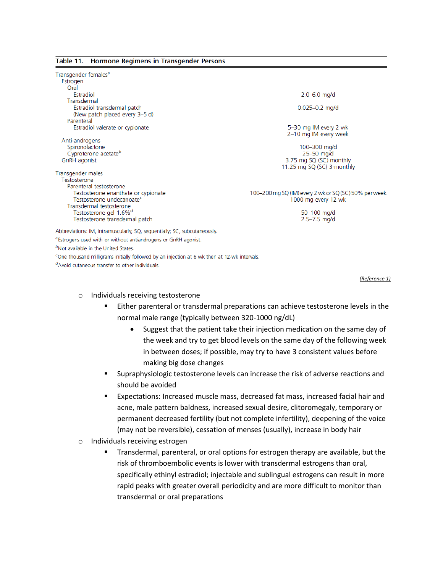#### Table 11. Hormone Regimens in Transgender Persons

| Transgender females <sup>a</sup>                                             |                                                       |
|------------------------------------------------------------------------------|-------------------------------------------------------|
| Estrogen                                                                     |                                                       |
| Oral                                                                         |                                                       |
| Estradiol                                                                    | $2.0 - 6.0$ mg/d                                      |
| Transdermal                                                                  |                                                       |
| Estradiol transdermal patch                                                  | $0.025 - 0.2$ mg/d                                    |
| (New patch placed every 3-5 d)                                               |                                                       |
| Parenteral                                                                   |                                                       |
| Estradiol valerate or cypionate                                              | 5-30 mg IM every 2 wk                                 |
|                                                                              | 2-10 mg IM every week                                 |
| Anti-androgens                                                               |                                                       |
| Spironolactone                                                               | 100 $-300$ mg/d                                       |
| Cyproterone acetate <sup>b</sup>                                             | $25 - 50$ mg/d                                        |
| GnRH agonist                                                                 | 3.75 mg SQ (SC) monthly                               |
|                                                                              | 11.25 mg SQ (SC) 3-monthly                            |
| Transgender males                                                            |                                                       |
| Testosterone                                                                 |                                                       |
| Parenteral testosterone                                                      |                                                       |
| Testosterone enanthate or cypionate<br>Testosterone undecanoate <sup>c</sup> | 100–200 mg SQ (IM) every 2 wk or SQ (SC) 50% per week |
| Transdermal testosterone                                                     | 1000 mg every 12 wk                                   |
| Testosterone gel 1.6% <sup>d</sup>                                           | 50-100 mg/d                                           |
| Testosterone transdermal patch                                               | $2.5 - 7.5$ mg/d                                      |
|                                                                              |                                                       |

Abbreviations: IM, intramuscularly; SQ, sequentially; SC, subcutaneously.

<sup>a</sup> Estrogens used with or without antiandrogens or GnRH agonist.

<sup>b</sup>Not available in the United States.

<sup>c</sup>One thousand milligrams initially followed by an injection at 6 wk then at 12-wk intervals.

<sup>d</sup>Avoid cutaneous transfer to other individuals.

*(Reference 1)*

#### o Individuals receiving testosterone

- Either parenteral or transdermal preparations can achieve testosterone levels in the normal male range (typically between 320-1000 ng/dL)
	- Suggest that the patient take their injection medication on the same day of the week and try to get blood levels on the same day of the following week in between doses; if possible, may try to have 3 consistent values before making big dose changes
- **EXECT** Supraphysiologic testosterone levels can increase the risk of adverse reactions and should be avoided
- Expectations: Increased muscle mass, decreased fat mass, increased facial hair and acne, male pattern baldness, increased sexual desire, clitoromegaly, temporary or permanent decreased fertility (but not complete infertility), deepening of the voice (may not be reversible), cessation of menses (usually), increase in body hair
- o Individuals receiving estrogen
	- **Transdermal, parenteral, or oral options for estrogen therapy are available, but the** risk of thromboembolic events is lower with transdermal estrogens than oral, specifically ethinyl estradiol; injectable and sublingual estrogens can result in more rapid peaks with greater overall periodicity and are more difficult to monitor than transdermal or oral preparations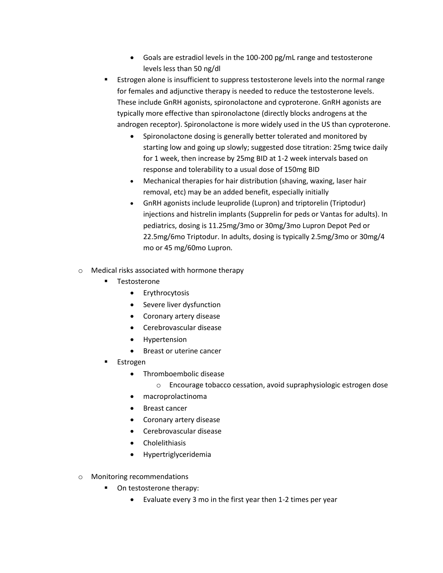- Goals are estradiol levels in the 100-200 pg/mL range and testosterone levels less than 50 ng/dl
- Estrogen alone is insufficient to suppress testosterone levels into the normal range for females and adjunctive therapy is needed to reduce the testosterone levels. These include GnRH agonists, spironolactone and cyproterone. GnRH agonists are typically more effective than spironolactone (directly blocks androgens at the androgen receptor). Spironolactone is more widely used in the US than cyproterone.
	- Spironolactone dosing is generally better tolerated and monitored by starting low and going up slowly; suggested dose titration: 25mg twice daily for 1 week, then increase by 25mg BID at 1-2 week intervals based on response and tolerability to a usual dose of 150mg BID
	- Mechanical therapies for hair distribution (shaving, waxing, laser hair removal, etc) may be an added benefit, especially initially
	- GnRH agonists include leuprolide (Lupron) and triptorelin (Triptodur) injections and histrelin implants (Supprelin for peds or Vantas for adults). In pediatrics, dosing is 11.25mg/3mo or 30mg/3mo Lupron Depot Ped or 22.5mg/6mo Triptodur. In adults, dosing is typically 2.5mg/3mo or 30mg/4 mo or 45 mg/60mo Lupron.
- o Medical risks associated with hormone therapy
	- Testosterone
		- Erythrocytosis
		- Severe liver dysfunction
		- Coronary artery disease
		- Cerebrovascular disease
		- Hypertension
		- Breast or uterine cancer
	- **Estrogen** 
		- Thromboembolic disease
			- o Encourage tobacco cessation, avoid supraphysiologic estrogen dose
		- macroprolactinoma
		- Breast cancer
		- Coronary artery disease
		- Cerebrovascular disease
		- Cholelithiasis
		- Hypertriglyceridemia
- o Monitoring recommendations
	- On testosterone therapy:
		- Evaluate every 3 mo in the first year then 1-2 times per year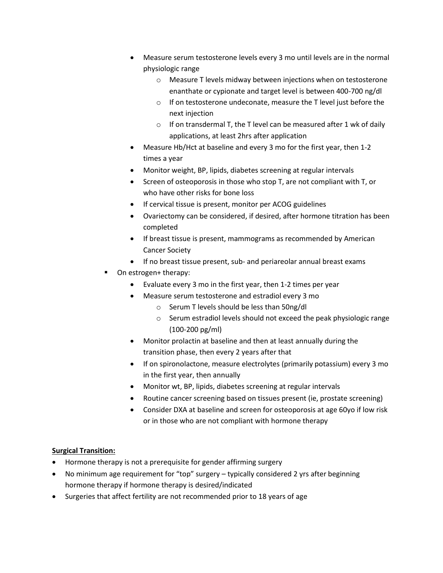- Measure serum testosterone levels every 3 mo until levels are in the normal physiologic range
	- o Measure T levels midway between injections when on testosterone enanthate or cypionate and target level is between 400-700 ng/dl
	- o If on testosterone undeconate, measure the T level just before the next injection
	- $\circ$  If on transdermal T, the T level can be measured after 1 wk of daily applications, at least 2hrs after application
- Measure Hb/Hct at baseline and every 3 mo for the first year, then 1-2 times a year
- Monitor weight, BP, lipids, diabetes screening at regular intervals
- Screen of osteoporosis in those who stop T, are not compliant with T, or who have other risks for bone loss
- If cervical tissue is present, monitor per ACOG guidelines
- Ovariectomy can be considered, if desired, after hormone titration has been completed
- If breast tissue is present, mammograms as recommended by American Cancer Society
- If no breast tissue present, sub- and periareolar annual breast exams
- On estrogen+ therapy:
	- Evaluate every 3 mo in the first year, then 1-2 times per year
	- Measure serum testosterone and estradiol every 3 mo
		- o Serum T levels should be less than 50ng/dl
		- o Serum estradiol levels should not exceed the peak physiologic range (100-200 pg/ml)
	- Monitor prolactin at baseline and then at least annually during the transition phase, then every 2 years after that
	- If on spironolactone, measure electrolytes (primarily potassium) every 3 mo in the first year, then annually
	- Monitor wt, BP, lipids, diabetes screening at regular intervals
	- Routine cancer screening based on tissues present (ie, prostate screening)
	- Consider DXA at baseline and screen for osteoporosis at age 60yo if low risk or in those who are not compliant with hormone therapy

# **Surgical Transition:**

- Hormone therapy is not a prerequisite for gender affirming surgery
- No minimum age requirement for "top" surgery typically considered 2 yrs after beginning hormone therapy if hormone therapy is desired/indicated
- Surgeries that affect fertility are not recommended prior to 18 years of age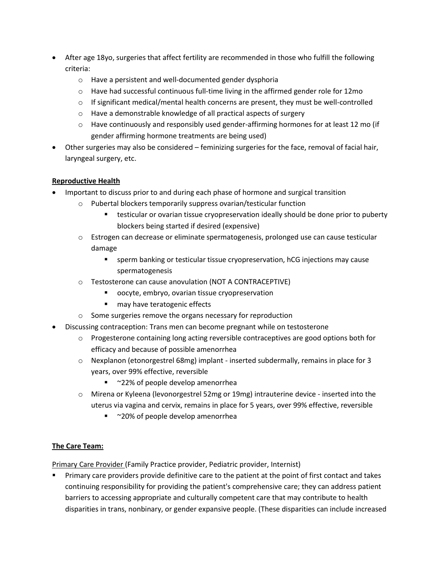- After age 18yo, surgeries that affect fertility are recommended in those who fulfill the following criteria:
	- o Have a persistent and well-documented gender dysphoria
	- $\circ$  Have had successful continuous full-time living in the affirmed gender role for 12mo
	- $\circ$  If significant medical/mental health concerns are present, they must be well-controlled
	- o Have a demonstrable knowledge of all practical aspects of surgery
	- $\circ$  Have continuously and responsibly used gender-affirming hormones for at least 12 mo (if gender affirming hormone treatments are being used)
- Other surgeries may also be considered feminizing surgeries for the face, removal of facial hair, laryngeal surgery, etc.

# **Reproductive Health**

- Important to discuss prior to and during each phase of hormone and surgical transition
	- o Pubertal blockers temporarily suppress ovarian/testicular function
		- testicular or ovarian tissue cryopreservation ideally should be done prior to puberty blockers being started if desired (expensive)
	- o Estrogen can decrease or eliminate spermatogenesis, prolonged use can cause testicular damage
		- **EXECT** sperm banking or testicular tissue cryopreservation, hCG injections may cause spermatogenesis
	- o Testosterone can cause anovulation (NOT A CONTRACEPTIVE)
		- oocyte, embryo, ovarian tissue cryopreservation
		- may have teratogenic effects
	- o Some surgeries remove the organs necessary for reproduction
- Discussing contraception: Trans men can become pregnant while on testosterone
	- o Progesterone containing long acting reversible contraceptives are good options both for efficacy and because of possible amenorrhea
	- $\circ$  Nexplanon (etonorgestrel 68mg) implant inserted subdermally, remains in place for 3 years, over 99% effective, reversible
		- ~22% of people develop amenorrhea
	- o Mirena or Kyleena (levonorgestrel 52mg or 19mg) intrauterine device inserted into the uterus via vagina and cervix, remains in place for 5 years, over 99% effective, reversible
		- ~20% of people develop amenorrhea

# **The Care Team:**

Primary Care Provider (Family Practice provider, Pediatric provider, Internist)

**•** Primary care providers provide definitive care to the patient at the point of first contact and takes continuing responsibility for providing the patient's comprehensive care; they can address patient barriers to accessing appropriate and culturally competent care that may contribute to health disparities in trans, nonbinary, or gender expansive people. (These disparities can include increased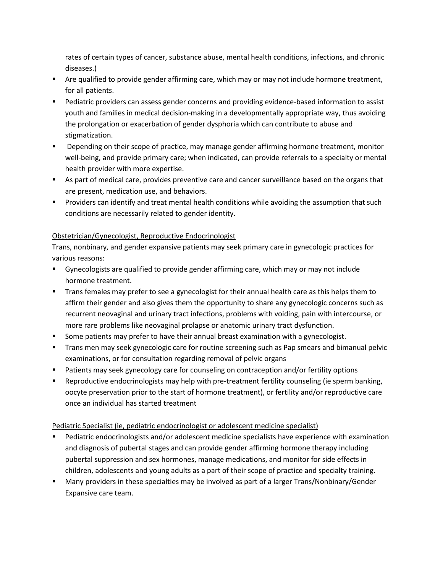rates of certain types of cancer, substance abuse, mental health conditions, infections, and chronic diseases.)

- Are qualified to provide gender affirming care, which may or may not include hormone treatment, for all patients.
- Pediatric providers can assess gender concerns and providing evidence-based information to assist youth and families in medical decision-making in a developmentally appropriate way, thus avoiding the prolongation or exacerbation of gender dysphoria which can contribute to abuse and stigmatization.
- Depending on their scope of practice, may manage gender affirming hormone treatment, monitor well-being, and provide primary care; when indicated, can provide referrals to a specialty or mental health provider with more expertise.
- As part of medical care, provides preventive care and cancer surveillance based on the organs that are present, medication use, and behaviors.
- **•** Providers can identify and treat mental health conditions while avoiding the assumption that such conditions are necessarily related to gender identity.

# Obstetrician/Gynecologist, Reproductive Endocrinologist

Trans, nonbinary, and gender expansive patients may seek primary care in gynecologic practices for various reasons:

- Gynecologists are qualified to provide gender affirming care, which may or may not include hormone treatment.
- **■** Trans females may prefer to see a gynecologist for their annual health care as this helps them to affirm their gender and also gives them the opportunity to share any gynecologic concerns such as recurrent neovaginal and urinary tract infections, problems with voiding, pain with intercourse, or more rare problems like neovaginal prolapse or anatomic urinary tract dysfunction.
- **EXED** Some patients may prefer to have their annual breast examination with a gynecologist.
- **Trans men may seek gynecologic care for routine screening such as Pap smears and bimanual pelvic** examinations, or for consultation regarding removal of pelvic organs
- Patients may seek gynecology care for counseling on contraception and/or fertility options
- Reproductive endocrinologists may help with pre-treatment fertility counseling (ie sperm banking, oocyte preservation prior to the start of hormone treatment), or fertility and/or reproductive care once an individual has started treatment

Pediatric Specialist (ie, pediatric endocrinologist or adolescent medicine specialist)

- Pediatric endocrinologists and/or adolescent medicine specialists have experience with examination and diagnosis of pubertal stages and can provide gender affirming hormone therapy including pubertal suppression and sex hormones, manage medications, and monitor for side effects in children, adolescents and young adults as a part of their scope of practice and specialty training.
- Many providers in these specialties may be involved as part of a larger Trans/Nonbinary/Gender Expansive care team.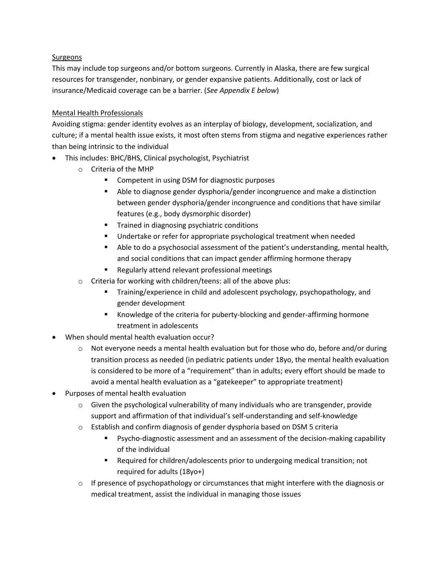## Surgeons

This may include top surgeons and/or bottom surgeons. Currently in Alaska, there are few surgical resources for transgender, nonbinary, or gender expansive patients. Additionally, cost or lack of insurance/Medicaid coverage can be a barrier. (*See Appendix E below*)

## Mental Health Professionals

Avoiding stigma: gender identity evolves as an interplay of biology, development, socialization, and culture; if a mental health issue exists, it most often stems from stigma and negative experiences rather than being intrinsic to the individual

- This includes: BHC/BHS, Clinical psychologist, Psychiatrist
	- o Criteria of the MHP
		- Competent in using DSM for diagnostic purposes
		- Able to diagnose gender dysphoria/gender incongruence and make a distinction between gender dysphoria/gender incongruence and conditions that have similar features (e.g., body dysmorphic disorder)
		- Trained in diagnosing psychiatric conditions
		- Undertake or refer for appropriate psychological treatment when needed
		- Able to do a psychosocial assessment of the patient's understanding, mental health, and social conditions that can impact gender affirming hormone therapy
		- Regularly attend relevant professional meetings
	- o Criteria for working with children/teens: all of the above plus:
		- **Training/experience in child and adolescent psychology, psychopathology, and** gender development
		- Knowledge of the criteria for puberty-blocking and gender-affirming hormone treatment in adolescents
- When should mental health evaluation occur?
	- $\circ$  Not everyone needs a mental health evaluation but for those who do, before and/or during transition process as needed (in pediatric patients under 18yo, the mental health evaluation is considered to be more of a "requirement" than in adults; every effort should be made to avoid a mental health evaluation as a "gatekeeper" to appropriate treatment)
- Purposes of mental health evaluation
	- $\circ$  Given the psychological vulnerability of many individuals who are transgender, provide support and affirmation of that individual's self-understanding and self-knowledge
	- $\circ$  Establish and confirm diagnosis of gender dysphoria based on DSM 5 criteria
		- Psycho-diagnostic assessment and an assessment of the decision-making capability of the individual
		- Required for children/adolescents prior to undergoing medical transition; not required for adults (18yo+)
	- $\circ$  If presence of psychopathology or circumstances that might interfere with the diagnosis or medical treatment, assist the individual in managing those issues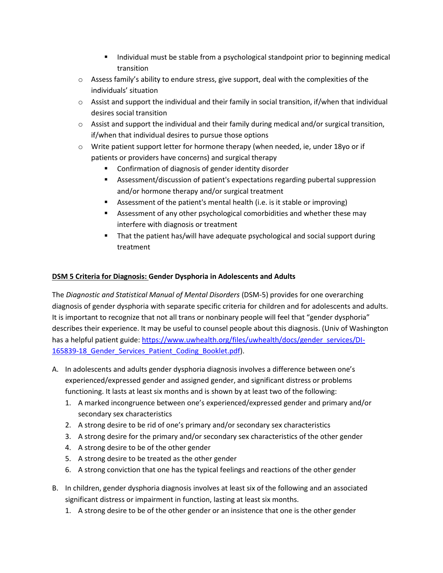- Individual must be stable from a psychological standpoint prior to beginning medical transition
- $\circ$  Assess family's ability to endure stress, give support, deal with the complexities of the individuals' situation
- $\circ$  Assist and support the individual and their family in social transition, if/when that individual desires social transition
- $\circ$  Assist and support the individual and their family during medical and/or surgical transition, if/when that individual desires to pursue those options
- $\circ$  Write patient support letter for hormone therapy (when needed, ie, under 18yo or if patients or providers have concerns) and surgical therapy
	- Confirmation of diagnosis of gender identity disorder
	- Assessment/discussion of patient's expectations regarding pubertal suppression and/or hormone therapy and/or surgical treatment
	- Assessment of the patient's mental health (i.e. is it stable or improving)
	- Assessment of any other psychological comorbidities and whether these may interfere with diagnosis or treatment
	- That the patient has/will have adequate psychological and social support during treatment

# **DSM 5 Criteria for Diagnosis: Gender Dysphoria in Adolescents and Adults**

The *Diagnostic and Statistical Manual of Mental Disorders* (DSM-5) provides for one overarching diagnosis of gender dysphoria with separate specific criteria for children and for adolescents and adults. It is important to recognize that not all trans or nonbinary people will feel that "gender dysphoria" describes their experience. It may be useful to counsel people about this diagnosis. (Univ of Washington has a helpful patient guide: [https://www.uwhealth.org/files/uwhealth/docs/gender\\_services/DI-](https://www.uwhealth.org/files/uwhealth/docs/gender_services/DI-165839-18_Gender_Services_Patient_Coding_Booklet.pdf)165839-18 Gender Services Patient Coding Booklet.pdf).

- A. In adolescents and adults gender dysphoria diagnosis involves a difference between one's experienced/expressed gender and assigned gender, and significant distress or problems functioning. It lasts at least six months and is shown by at least two of the following:
	- 1. A marked incongruence between one's experienced/expressed gender and primary and/or secondary sex characteristics
	- 2. A strong desire to be rid of one's primary and/or secondary sex characteristics
	- 3. A strong desire for the primary and/or secondary sex characteristics of the other gender
	- 4. A strong desire to be of the other gender
	- 5. A strong desire to be treated as the other gender
	- 6. A strong conviction that one has the typical feelings and reactions of the other gender
- B. In children, gender dysphoria diagnosis involves at least six of the following and an associated significant distress or impairment in function, lasting at least six months.
	- 1. A strong desire to be of the other gender or an insistence that one is the other gender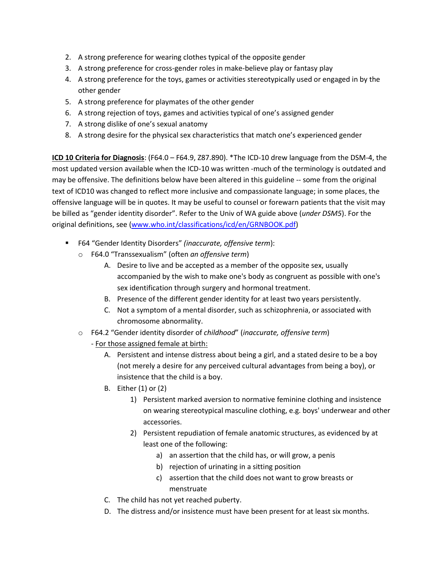- 2. A strong preference for wearing clothes typical of the opposite gender
- 3. A strong preference for cross-gender roles in make-believe play or fantasy play
- 4. A strong preference for the toys, games or activities stereotypically used or engaged in by the other gender
- 5. A strong preference for playmates of the other gender
- 6. A strong rejection of toys, games and activities typical of one's assigned gender
- 7. A strong dislike of one's sexual anatomy
- 8. A strong desire for the physical sex characteristics that match one's experienced gender

**ICD 10 Criteria for Diagnosis**: (F64.0 – F64.9, Z87.890). \*The ICD-10 drew language from the DSM-4, the most updated version available when the ICD-10 was written -much of the terminology is outdated and may be offensive. The definitions below have been altered in this guideline -- some from the original text of ICD10 was changed to reflect more inclusive and compassionate language; in some places, the offensive language will be in quotes. It may be useful to counsel or forewarn patients that the visit may be billed as "gender identity disorder". Refer to the Univ of WA guide above (*under DSM5*). For the original definitions, see [\(www.who.int/classifications/icd/en/GRNBOOK.pdf\)](http://www.who.int/classifications/icd/en/GRNBOOK.pdf)

- F64 "Gender Identity Disorders" *(inaccurate, offensive term*):
	- o F64.0 "Transsexualism" (often *an offensive term*)
		- A. Desire to live and be accepted as a member of the opposite sex, usually accompanied by the wish to make one's body as congruent as possible with one's sex identification through surgery and hormonal treatment.
		- B. Presence of the different gender identity for at least two years persistently.
		- C. Not a symptom of a mental disorder, such as schizophrenia, or associated with chromosome abnormality.
	- o F64.2 "Gender identity disorder of *childhood*" (*inaccurate, offensive term*)
		- For those assigned female at birth:
			- A. Persistent and intense distress about being a girl, and a stated desire to be a boy (not merely a desire for any perceived cultural advantages from being a boy), or insistence that the child is a boy.
			- B. Either (1) or (2)
				- 1) Persistent marked aversion to normative feminine clothing and insistence on wearing stereotypical masculine clothing, e.g. boys' underwear and other accessories.
				- 2) Persistent repudiation of female anatomic structures, as evidenced by at least one of the following:
					- a) an assertion that the child has, or will grow, a penis
					- b) rejection of urinating in a sitting position
					- c) assertion that the child does not want to grow breasts or menstruate
			- C. The child has not yet reached puberty.
			- D. The distress and/or insistence must have been present for at least six months.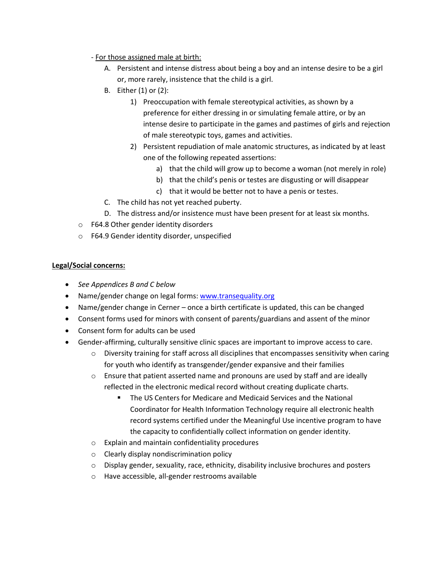- For those assigned male at birth:
	- A. Persistent and intense distress about being a boy and an intense desire to be a girl or, more rarely, insistence that the child is a girl.
	- B. Either (1) or (2):
		- 1) Preoccupation with female stereotypical activities, as shown by a preference for either dressing in or simulating female attire, or by an intense desire to participate in the games and pastimes of girls and rejection of male stereotypic toys, games and activities.
		- 2) Persistent repudiation of male anatomic structures, as indicated by at least one of the following repeated assertions:
			- a) that the child will grow up to become a woman (not merely in role)
			- b) that the child's penis or testes are disgusting or will disappear
			- c) that it would be better not to have a penis or testes.
	- C. The child has not yet reached puberty.
	- D. The distress and/or insistence must have been present for at least six months.
- o F64.8 Other gender identity disorders
- o F64.9 Gender identity disorder, unspecified

# **Legal/Social concerns:**

- *See Appendices B and C below*
- Name/gender change on legal forms[: www.transequality.org](http://www.transequality.org/)
- Name/gender change in Cerner once a birth certificate is updated, this can be changed
- Consent forms used for minors with consent of parents/guardians and assent of the minor
- Consent form for adults can be used
- Gender-affirming, culturally sensitive clinic spaces are important to improve access to care.
	- $\circ$  Diversity training for staff across all disciplines that encompasses sensitivity when caring for youth who identify as transgender/gender expansive and their families
	- $\circ$  Ensure that patient asserted name and pronouns are used by staff and are ideally reflected in the electronic medical record without creating duplicate charts.
		- The US Centers for Medicare and Medicaid Services and the National Coordinator for Health Information Technology require all electronic health record systems certified under the Meaningful Use incentive program to have the capacity to confidentially collect information on gender identity.
	- o Explain and maintain confidentiality procedures
	- o Clearly display nondiscrimination policy
	- o Display gender, sexuality, race, ethnicity, disability inclusive brochures and posters
	- o Have accessible, all-gender restrooms available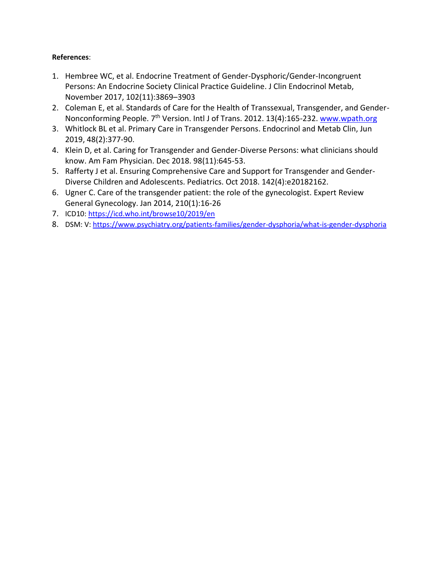# **References**:

- 1. Hembree WC, et al. Endocrine Treatment of Gender-Dysphoric/Gender-Incongruent Persons: An Endocrine Society Clinical Practice Guideline. J Clin Endocrinol Metab, November 2017, 102(11):3869–3903
- 2. Coleman E, et al. Standards of Care for the Health of Transsexual, Transgender, and GenderNonconforming People. 7<sup>th</sup> Version. Intl J of Trans. 2012. 13(4):165-232. [www.wpath.org](http://www.wpath.org/)
- 3. Whitlock BL et al. Primary Care in Transgender Persons. Endocrinol and Metab Clin, Jun 2019, 48(2):377-90.
- 4. Klein D, et al. Caring for Transgender and Gender-Diverse Persons: what clinicians should know. Am Fam Physician. Dec 2018. 98(11):645-53.
- 5. Rafferty J et al. Ensuring Comprehensive Care and Support for Transgender and Gender-Diverse Children and Adolescents. Pediatrics. Oct 2018. 142(4):e20182162.
- 6. Ugner C. Care of the transgender patient: the role of the gynecologist. Expert Review General Gynecology. Jan 2014, 210(1):16-26
- 7. ICD10:<https://icd.who.int/browse10/2019/en>
- 8. DSM: V:<https://www.psychiatry.org/patients-families/gender-dysphoria/what-is-gender-dysphoria>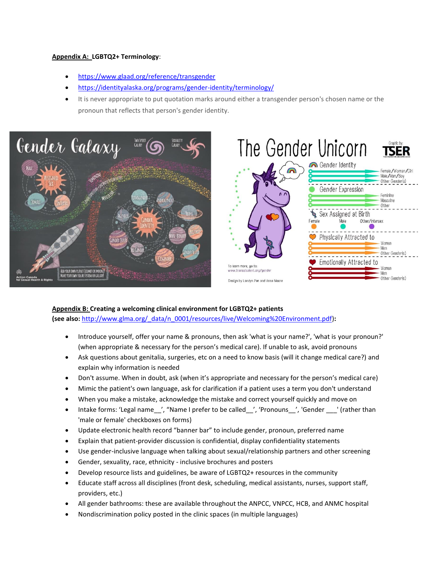#### **Appendix A: LGBTQ2+ Terminology**:

- <https://www.glaad.org/reference/transgender>
- <https://identityalaska.org/programs/gender-identity/terminology/>
- It is never appropriate to put quotation marks around either a transgender person's chosen name or the pronoun that reflects that person's gender identity.





### **Appendix B: Creating a welcoming clinical environment for LGBTQ2+ patients**

**(see also:** [http://www.glma.org/\\_data/n\\_0001/resources/live/Welcoming%20Environment.pdf\)](http://www.glma.org/_data/n_0001/resources/live/Welcoming%20Environment.pdf)**:** 

- Introduce yourself, offer your name & pronouns, then ask 'what is your name?', 'what is your pronoun?' (when appropriate & necessary for the person's medical care). If unable to ask, avoid pronouns
- Ask questions about genitalia, surgeries, etc on a need to know basis (will it change medical care?) and explain why information is needed
- Don't assume. When in doubt, ask (when it's appropriate and necessary for the person's medical care)
- Mimic the patient's own language, ask for clarification if a patient uses a term you don't understand
- When you make a mistake, acknowledge the mistake and correct yourself quickly and move on
- Intake forms: 'Legal name ', "Name I prefer to be called ', 'Pronouns ', 'Gender ' (rather than 'male or female' checkboxes on forms)
- Update electronic health record "banner bar" to include gender, pronoun, preferred name
- Explain that patient-provider discussion is confidential, display confidentiality statements
- Use gender-inclusive language when talking about sexual/relationship partners and other screening
- Gender, sexuality, race, ethnicity inclusive brochures and posters
- Develop resource lists and guidelines, be aware of LGBTQ2+ resources in the community
- Educate staff across all disciplines (front desk, scheduling, medical assistants, nurses, support staff, providers, etc.)
- All gender bathrooms: these are available throughout the ANPCC, VNPCC, HCB, and ANMC hospital
- Nondiscrimination policy posted in the clinic spaces (in multiple languages)